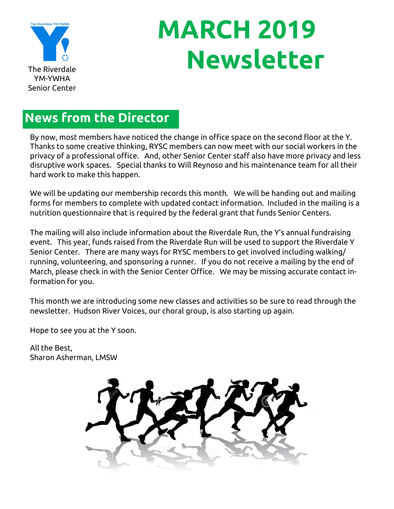

# **MARCH 2019 The Riverdale**

### **News from the Director**

By now, most members have noticed the change in office space on the second floor at the Y. Thanks to some creative thinking, RYSC members can now meet with our social workers in the privacy of a professional office. And, other Senior Center staff also have more privacy and less disruptive work spaces. Special thanks to Will Reynoso and his maintenance team for all their hard work to make this happen.

We will be updating our membership records this month. We will be handing out and mailing forms for members to complete with updated contact information. Included in the mailing is a nutrition questionnaire that is required by the federal grant that funds Senior Centers.

The mailing will also include information about the Riverdale Run, the Y's annual fundraising event. This year, funds raised from the Riverdale Run will be used to support the Riverdale Y Senior Center. There are many ways for RYSC members to get involved including walking/ running, volunteering, and sponsoring a runner. If you do not receive a mailing by the end of March, please check in with the Senior Center Office. We may be missing accurate contact information for you.

This month we are introducing some new classes and activities so be sure to read through the newsletter. Hudson River Voices, our choral group, is also starting up again.

Hope to see you at the Y soon.

All the Best, Sharon Asherman, LMSW

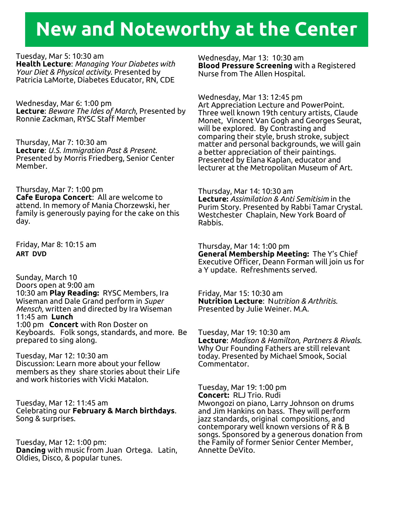## **New and Noteworthy at the Center**

Tuesday, Mar 5: 10:30 am **Health Lecture**: *Managing Your Diabetes with Your Diet & Physical activity*. Presented by Patricia LaMorte, Diabetes Educator, RN, CDE

Wednesday, Mar 6: 1:00 pm **Lecture**: *Beware The Ides of March*, Presented by Ronnie Zackman, RYSC Staff Member

Thursday, Mar 7: 10:30 am **Lecture**: *U.S. Immigration Past & Present*. Presented by Morris Friedberg, Senior Center Member.

Thursday, Mar 7: 1:00 pm **Cafe Europa Concert**: All are welcome to attend. In memory of Mania Chorzewski, her family is generously paying for the cake on this day.

Friday, Mar 8: 10:15 am **ART DVD**

Sunday, March 10 Doors open at 9:00 am 10:30 am **Play Reading:** RYSC Members, Ira Wiseman and Dale Grand perform in *Super Mensch,* written and directed by Ira Wiseman 11:45 am **Lunch** 1:00 pm **Concert** with Ron Doster on Keyboards. Folk songs, standards, and more. Be prepared to sing along.

Tuesday, Mar 12: 10:30 am Discussion: Learn more about your fellow members as they share stories about their Life and work histories with Vicki Matalon.

Tuesday, Mar 12: 11:45 am Celebrating our **February & March birthdays**. Song & surprises.

Tuesday, Mar 12: 1:00 pm: **Dancing** with music from Juan Ortega. Latin, Oldies, Disco, & popular tunes.

Wednesday, Mar 13: 10:30 am **Blood Pressure Screening** with a Registered Nurse from The Allen Hospital.

Wednesday, Mar 13: 12:45 pm Art Appreciation Lecture and PowerPoint. Three well known 19th century artists, Claude Monet, Vincent Van Gogh and Georges Seurat, will be explored. By Contrasting and comparing their style, brush stroke, subject matter and personal backgrounds, we will gain a better appreciation of their paintings. Presented by Elana Kaplan, educator and lecturer at the Metropolitan Museum of Art.

Thursday, Mar 14: 10:30 am **Lecture:** *Assimilation & Anti Semitisim* in the Purim Story. Presented by Rabbi Tamar Crystal. Westchester Chaplain, New York Board of Rabbis.

Thursday, Mar 14: 1:00 pm **General Membership Meeting:** The Y's Chief Executive Officer, Deann Forman will join us for a Y update. Refreshments served.

Friday, Mar 15: 10:30 am **Nutrition Lecture**: N*utrition & Arthritis.*  Presented by Julie Weiner. M.A.

Tuesday, Mar 19: 10:30 am **Lecture**: *Madison & Hamilton, Partners & Rivals*. Why Our Founding Fathers are still relevant today. Presented by Michael Smook, Social Commentator.

Tuesday, Mar 19: 1:00 pm **Concert:** RLJ Trio. Rudi Mwongozi on piano, Larry Johnson on drums and Jim Hankins on bass. They will perform jazz standards, original compositions, and contemporary well known versions of R & B songs. Sponsored by a generous donation from the Family of former Senior Center Member, Annette DeVito.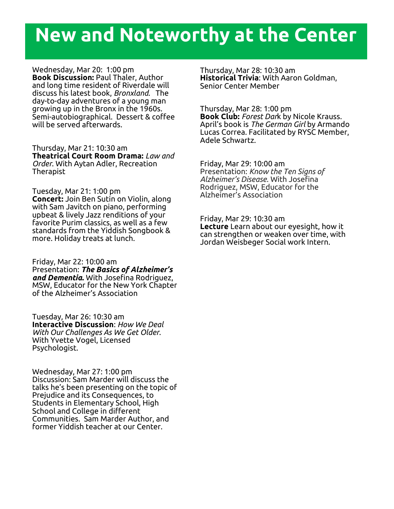## **New and Noteworthy at the Center**

Wednesday, Mar 20: 1:00 pm **Book Discussion:** Paul Thaler, Author and long time resident of Riverdale will discuss his latest book, *Bronxland*. The day-to-day adventures of a young man growing up in the Bronx in the 1960s. Semi-autobiographical. Dessert & coffee will be served afterwards.

Thursday, Mar 21: 10:30 am **Theatrical Court Room Drama:** *Law and Order*. With Aytan Adler, Recreation Therapist

Tuesday, Mar 21: 1:00 pm **Concert:** Join Ben Sutin on Violin, along with Sam Javitch on piano, performing upbeat & lively Jazz renditions of your favorite Purim classics, as well as a few standards from the Yiddish Songbook & more. Holiday treats at lunch.

Friday, Mar 22: 10:00 am Presentation: *The Basics of Alzheimer's and Dementia***.** With Josefina Rodriguez, MSW, Educator for the New York Chapter of the Alzheimer's Association

Tuesday, Mar 26: 10:30 am **Interactive Discussion**: *How We Deal With Our Challenges As We Get Older*. With Yvette Vogel, Licensed Psychologist.

Wednesday, Mar 27: 1:00 pm Discussion: Sam Marder will discuss the talks he's been presenting on the topic of Prejudice and its Consequences, to Students in Elementary School, High School and College in different Communities. Sam Marder Author, and former Yiddish teacher at our Center.

Thursday, Mar 28: 10:30 am **Historical Trivia**: With Aaron Goldman, Senior Center Member

Thursday, Mar 28: 1:00 pm **Book Club:** *Forest Dar*k by Nicole Krauss. April's book is *The German Girl* by Armando Lucas Correa. Facilitated by RYSC Member, Adele Schwartz.

Friday, Mar 29: 10:00 am Presentation: *Know the Ten Signs of Alzheimer's Disease.* With Josefina Rodriguez, MSW, Educator for the Alzheimer's Association

Friday, Mar 29: 10:30 am **Lecture** Learn about our eyesight, how it can strengthen or weaken over time, with Jordan Weisbeger Social work Intern.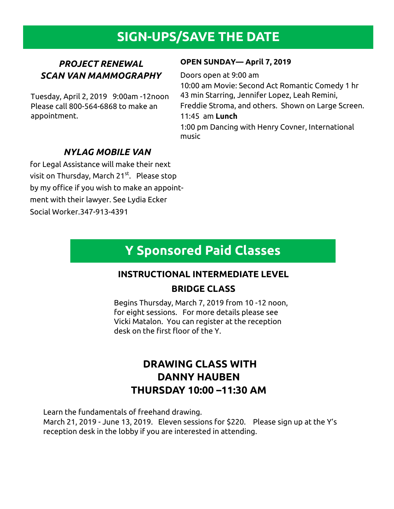## **SIGN-UPS/SAVE THE DATE**

#### *PROJECT RENEWAL SCAN VAN MAMMOGRAPHY*

Tuesday, April 2, 2019 9:00am -12noon Please call 800-564-6868 to make an appointment.

#### **OPEN SUNDAY— April 7, 2019**

Doors open at 9:00 am

10:00 am Movie: Second Act Romantic Comedy 1 hr 43 min Starring, Jennifer Lopez, Leah Remini, Freddie Stroma, and others. Shown on Large Screen. 11:45 am **Lunch**

1:00 pm Dancing with Henry Covner, International music

#### *NYLAG MOBILE VAN*

for Legal Assistance will make their next visit on Thursday, March 21<sup>st</sup>. Please stop by my office if you wish to make an appointment with their lawyer. See Lydia Ecker Social Worker.347-913-4391

## **Y Sponsored Paid Classes**

#### **INSTRUCTIONAL INTERMEDIATE LEVEL**

#### **BRIDGE CLASS**

Begins Thursday, March 7, 2019 from 10 -12 noon, for eight sessions. For more details please see Vicki Matalon. You can register at the reception desk on the first floor of the Y.

#### **DRAWING CLASS WITH DANNY HAUBEN THURSDAY 10:00 –11:30 AM**

Learn the fundamentals of freehand drawing.

March 21, 2019 - June 13, 2019. Eleven sessions for \$220. Please sign up at the Y's reception desk in the lobby if you are interested in attending.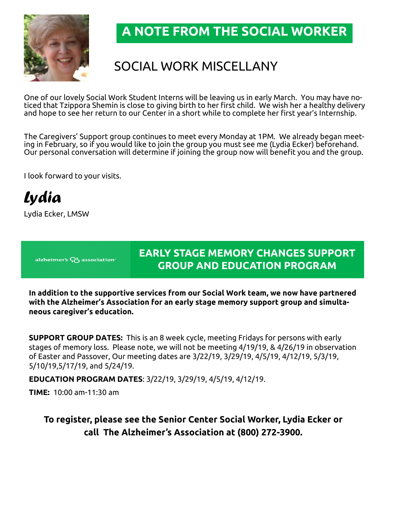

### **A NOTE FROM THE SOCIAL WORKER**

## SOCIAL WORK MISCELLANY

One of our lovely Social Work Student Interns will be leaving us in early March. You may have noticed that Tzippora Shemin is close to giving birth to her first child. We wish her a healthy delivery and hope to see her return to our Center in a short while to complete her first year's Internship.

The Caregivers' Support group continues to meet every Monday at 1PM. We already began meeting in February, so if you would like to join the group you must see me (Lydia Ecker) beforehand. Our personal conversation will determine if joining the group now will benefit you and the group.

I look forward to your visits.

*Lydia*

Lydia Ecker, LMSW

alzheimer's Q5 association<sup>®</sup>

#### **EARLY STAGE MEMORY CHANGES SUPPORT GROUP AND EDUCATION PROGRAM**

**In addition to the supportive services from our Social Work team, we now have partnered with the Alzheimer's Association for an early stage memory support group and simultaneous caregiver's education.** 

**SUPPORT GROUP DATES:** This is an 8 week cycle, meeting Fridays for persons with early stages of memory loss. Please note, we will not be meeting 4/19/19, & 4/26/19 in observation of Easter and Passover, Our meeting dates are 3/22/19, 3/29/19, 4/5/19, 4/12/19, 5/3/19, 5/10/19,5/17/19, and 5/24/19.

**EDUCATION PROGRAM DATES**: 3/22/19, 3/29/19, 4/5/19, 4/12/19.

**TIME:** 10:00 am-11:30 am

**To register, please see the Senior Center Social Worker, Lydia Ecker or call The Alzheimer's Association at (800) 272-3900.**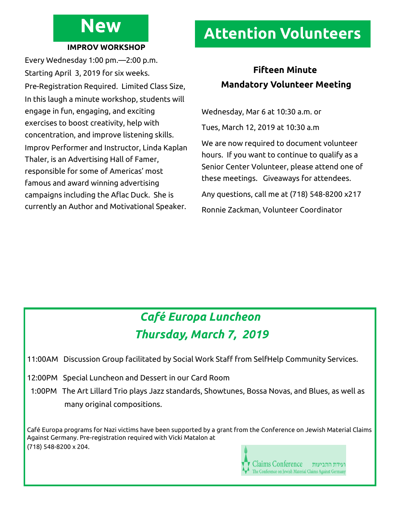## **New**

#### **IMPROV WORKSHOP**

Every Wednesday 1:00 pm.—2:00 p.m. Starting April 3, 2019 for six weeks. Pre-Registration Required. Limited Class Size, In this laugh a minute workshop, students will engage in fun, engaging, and exciting exercises to boost creativity, help with concentration, and improve listening skills. Improv Performer and Instructor, Linda Kaplan Thaler, is an Advertising Hall of Famer, responsible for some of Americas' most famous and award winning advertising campaigns including the Aflac Duck. She is currently an Author and Motivational Speaker.

## **Attention Volunteers**

#### **Fifteen Minute Mandatory Volunteer Meeting**

Wednesday, Mar 6 at 10:30 a.m. or

Tues, March 12, 2019 at 10:30 a.m

We are now required to document volunteer hours. If you want to continue to qualify as a Senior Center Volunteer, please attend one of these meetings. Giveaways for attendees.

Any questions, call me at (718) 548-8200 x217

Ronnie Zackman, Volunteer Coordinator

## *Café Europa Luncheon Thursday, March 7, 2019*

11:00AM Discussion Group facilitated by Social Work Staff from SelfHelp Community Services.

12:00PM Special Luncheon and Dessert in our Card Room

 1:00PM The Art Lillard Trio plays Jazz standards, Showtunes, Bossa Novas, and Blues, as well as many original compositions.

Café Europa programs for Nazi victims have been supported by a grant from the Conference on Jewish Material Claims Against Germany. Pre-registration required with Vicki Matalon at (718) 548-8200 x 204.

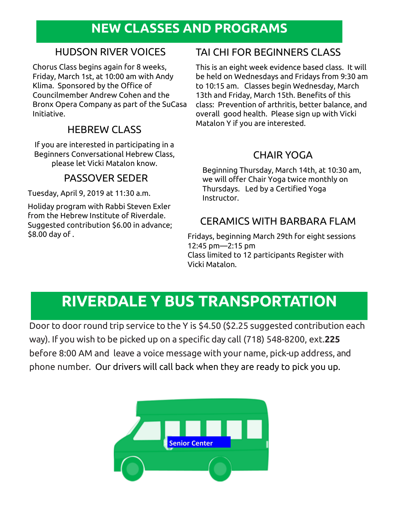### **NEW CLASSES AND PROGRAMS**

#### HUDSON RIVER VOICES

Chorus Class begins again for 8 weeks, Friday, March 1st, at 10:00 am with Andy Klima. Sponsored by the Office of Councilmember Andrew Cohen and the Bronx Opera Company as part of the SuCasa Initiative.

#### HEBREW CLASS

If you are interested in participating in a Beginners Conversational Hebrew Class, please let Vicki Matalon know.

#### PASSOVER SEDER

Tuesday, April 9, 2019 at 11:30 a.m.

Holiday program with Rabbi Steven Exler from the Hebrew Institute of Riverdale. Suggested contribution \$6.00 in advance; \$8.00 day of .

#### TAI CHI FOR BEGINNERS CLASS

This is an eight week evidence based class. It will be held on Wednesdays and Fridays from 9:30 am to 10:15 am. Classes begin Wednesday, March 13th and Friday, March 15th. Benefits of this class: Prevention of arthritis, better balance, and overall good health. Please sign up with Vicki Matalon Y if you are interested.

#### CHAIR YOGA

Beginning Thursday, March 14th, at 10:30 am, we will offer Chair Yoga twice monthly on Thursdays. Led by a Certified Yoga Instructor.

#### CERAMICS WITH BARBARA FLAM

Fridays, beginning March 29th for eight sessions 12:45 pm—2:15 pm Class limited to 12 participants Register with Vicki Matalon.

## **RIVERDALE Y BUS TRANSPORTATION**

Door to door round trip service to the Y is \$4.50 (\$2.25 suggested contribution each way). If you wish to be picked up on a specific day call (718) 548-8200, ext.**225**  before 8:00 AM and leave a voice message with your name, pick-up address, and phone number. Our drivers will call back when they are ready to pick you up.

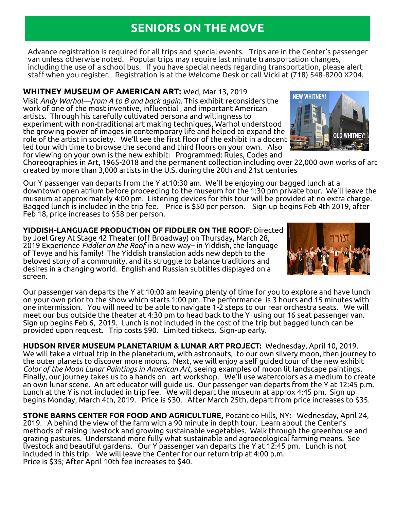#### **SENIORS ON THE MOVE**

Advance registration is required for all trips and special events. Trips are in the Center's passenger van unless otherwise noted. Popular trips may require last minute transportation changes, including the use of a school bus. If you have special needs regarding transportation, please alert staff when you register. Registration is at the Welcome Desk or call Vicki at (718) 548-8200 X204.

**WHITNEY MUSEUM OF AMERICAN ART:** Wed, Mar 13, 2019 Visit *Andy Warhol—from A to B and back again*. This exhibit reconsiders the work of one of the most inventive, influential , and important American artists. Through his carefully cultivated persona and willingness to experiment with non-traditional art making techniques, Warhol understood the growing power of images in contemporary life and helped to expand the role of the artist in society. We'll see the first floor of the exhibit in a docent led tour with time to browse the second and third floors on your own. Also for viewing on your own is the new exhibit: Programmed: Rules, Codes and



Choreographies in Art, 1965-2018 and the permanent collection including over 22,000 own works of art created by more than 3,000 artists in the U.S. during the 20th and 21st centuries

Our Y passenger van departs from the Y at10:30 am. We'll be enjoying our bagged lunch at a downtown open atrium before proceeding to the museum for the 1:30 pm private tour. We'll leave the museum at approximately 4:00 pm. Listening devices for this tour will be provided at no extra charge. Bagged lunch is included in the trip fee. Price is \$50 per person. Sign up begins Feb 4th 2019, after Feb 18, price increases to \$58 per person.

**YIDDISH-LANGUAGE PRODUCTION OF FIDDLER ON THE ROOF:** Directed by Joel Grey At Stage 42 Theater (off Broadway) on Thursday, March 28, 2019 Experience *Fiddler on the Roof* in a new way– in Yiddish, the language of Tevye and his family! The Yiddish translation adds new depth to the beloved story of a community, and its struggle to balance traditions and desires in a changing world. English and Russian subtitles displayed on a screen.



Our passenger van departs the Y at 10:00 am leaving plenty of time for you to explore and have lunch on your own prior to the show which starts 1:00 pm. The performance is 3 hours and 15 minutes with one intermission. You will need to be able to navigate 1-2 steps to our rear orchestra seats. We will meet our bus outside the theater at 4:30 pm to head back to the Y using our 16 seat passenger van. Sign up begins Feb 6, 2019. Lunch is not included in the cost of the trip but bagged lunch can be provided upon request. Trip costs \$90. Limited tickets. Sign-up early.

**HUDSON RIVER MUSEUM PLANETARIUM & LUNAR ART PROJECT:** Wednesday, April 10, 2019. We will take a virtual trip in the planetarium, with astronauts, to our own silvery moon, then journey to the outer planets to discover more moons. Next, we will enjoy a self guided tour of the new exhibit *Color of the Moon Lunar Paintings in American Art,* seeing examples of moon lit landscape paintings. Finally, our journey takes us to a hands on art workshop. We'll use watercolors as a medium to create an own lunar scene. An art educator will guide us. Our passenger van departs from the Y at 12:45 p.m. Lunch at the Y is not included in trip fee. We will depart the museum at approx 4:45 pm. Sign up begins Monday, March 4th, 2019. Price is \$30. After March 25th, depart from price increases to \$35.

**STONE BARNS CENTER FOR FOOD AND AGRICULTURE,** Pocantico Hills, NY**:** Wednesday, April 24, 2019. A behind the view of the farm with a 90 minute in depth tour. Learn about the Center's methods of raising livestock and growing sustainable vegetables. Walk through the greenhouse and grazing pastures. Understand more fully what sustainable and agroecological farming means. See livestock and beautiful gardens. Our Y passenger van departs the Y at 12:45 pm. Lunch is not included in this trip. We will leave the Center for our return trip at 4:00 p.m. Price is \$35; After April 10th fee increases to \$40.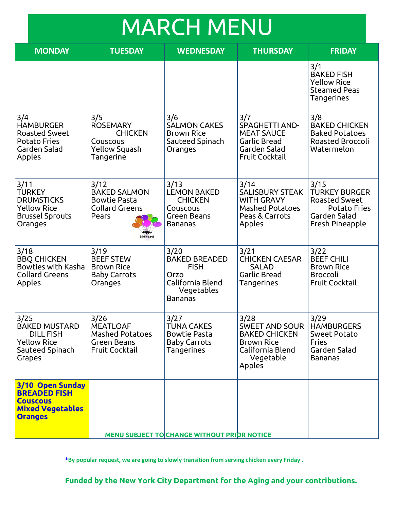# MARCH MENU

| <b>MONDAY</b>                                                                                           | <b>TUESDAY</b>                                                                                          | <b>WEDNESDAY</b>                                                                                        | <b>THURSDAY</b>                                                                                                       | <b>FRIDAY</b>                                                                                                  |  |
|---------------------------------------------------------------------------------------------------------|---------------------------------------------------------------------------------------------------------|---------------------------------------------------------------------------------------------------------|-----------------------------------------------------------------------------------------------------------------------|----------------------------------------------------------------------------------------------------------------|--|
|                                                                                                         |                                                                                                         |                                                                                                         |                                                                                                                       | 3/1<br><b>BAKED FISH</b><br><b>Yellow Rice</b><br><b>Steamed Peas</b><br>Tangerines                            |  |
| 3/4<br><b>HAMBURGER</b><br><b>Roasted Sweet</b><br><b>Potato Fries</b><br>Garden Salad<br>Apples        | 3/5<br><b>ROSEMARY</b><br><b>CHICKEN</b><br>Couscous<br>Yellow Squash<br>Tangerine                      | 3/6<br><b>SALMON CAKES</b><br><b>Brown Rice</b><br>Sauteed Spinach<br>Oranges                           | 3/7<br><b>SPAGHETTI AND-</b><br><b>MEAT SAUCE</b><br>Garlic Bread<br>Garden Salad<br><b>Fruit Cocktail</b>            | 3/8<br><b>BAKED CHICKEN</b><br><b>Baked Potatoes</b><br><b>Roasted Broccoli</b><br>Watermelon                  |  |
| 3/11<br><b>TURKEY</b><br><b>DRUMSTICKS</b><br><b>Yellow Rice</b><br><b>Brussel Sprouts</b><br>Oranges   | 3/12<br><b>BAKED SALMON</b><br><b>Bowtie Pasta</b><br><b>Collard Greens</b><br>Pears<br><b>Birthdav</b> | 3/13<br><b>LEMON BAKED</b><br><b>CHICKEN</b><br>Couscous<br>Green Beans<br><b>Bananas</b>               | 3/14<br><b>SALISBURY STEAK</b><br><b>WITH GRAVY</b><br><b>Mashed Potatoes</b><br>Peas & Carrots<br>Apples             | 3/15<br><b>TURKEY BURGER</b><br><b>Roasted Sweet</b><br><b>Potato Fries</b><br>Garden Salad<br>Fresh Pineapple |  |
| 3/18<br><b>BBQ CHICKEN</b><br>Bowties with Kasha<br><b>Collard Greens</b><br>Apples                     | 3/19<br><b>BEEF STEW</b><br><b>Brown Rice</b><br><b>Baby Carrots</b><br>Oranges                         | 3/20<br><b>BAKED BREADED</b><br><b>FISH</b><br>Orzo<br>California Blend<br>Vegetables<br><b>Bananas</b> | 3/21<br><b>CHICKEN CAESAR</b><br><b>SALAD</b><br><b>Garlic Bread</b><br>Tangerines                                    | 3/22<br><b>BEEF CHILI</b><br><b>Brown Rice</b><br><b>Broccoli</b><br><b>Fruit Cocktail</b>                     |  |
| 3/25<br><b>BAKED MUSTARD</b><br><b>DILL FISH</b><br><b>Yellow Rice</b><br>Sauteed Spinach<br>Grapes     | 3/26<br><b>MEATLOAF</b><br><b>Mashed Potatoes</b><br>Green Beans<br><b>Fruit Cocktail</b>               | 3/27<br><b>TUNA CAKES</b><br><b>Bowtie Pasta</b><br><b>Baby Carrots</b><br>Tangerines                   | 3/28<br><b>SWEET AND SOUR</b><br><b>BAKED CHICKEN</b><br><b>Brown Rice</b><br>California Blend<br>Vegetable<br>Apples | 3/29<br><b>HAMBURGERS</b><br><b>Sweet Potato</b><br><b>Fries</b><br>Garden Salad<br><b>Bananas</b>             |  |
| 3/10 Open Sunday<br><b>BREADED FISH</b><br><b>Couscous</b><br><b>Mixed Vegetables</b><br><b>Oranges</b> |                                                                                                         |                                                                                                         |                                                                                                                       |                                                                                                                |  |
| <b>MENU SUBJECT TO CHANGE WITHOUT PRIOR NOTICE</b>                                                      |                                                                                                         |                                                                                                         |                                                                                                                       |                                                                                                                |  |

**\*By popular request, we are going to slowly transition from serving chicken every Friday .**

**Funded by the New York City Department for the Aging and your contributions.**